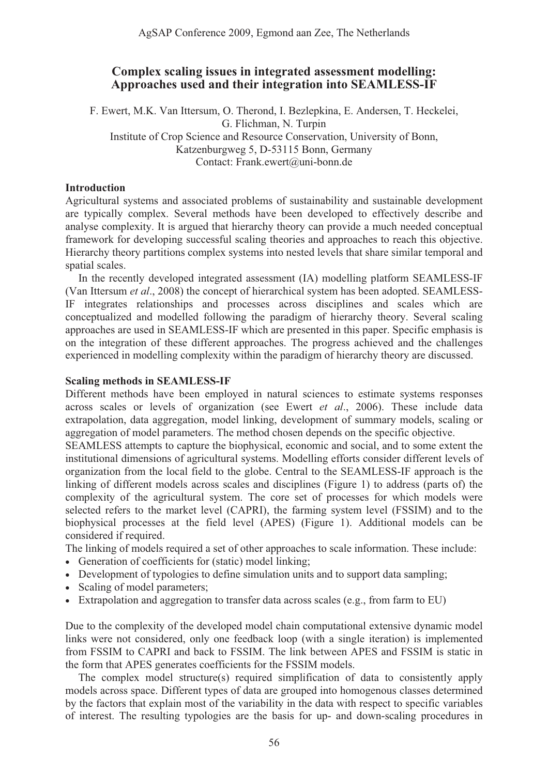# **Complex scaling issues in integrated assessment modelling: Approaches used and their integration into SEAMLESS-IF**

F. Ewert, M.K. Van Ittersum, O. Therond, I. Bezlepkina, E. Andersen, T. Heckelei, G. Flichman, N. Turpin Institute of Crop Science and Resource Conservation, University of Bonn, Katzenburgweg 5, D-53115 Bonn, Germany Contact: Frank.ewert@uni-bonn.de

### **Introduction**

Agricultural systems and associated problems of sustainability and sustainable development are typically complex. Several methods have been developed to effectively describe and analyse complexity. It is argued that hierarchy theory can provide a much needed conceptual framework for developing successful scaling theories and approaches to reach this objective. Hierarchy theory partitions complex systems into nested levels that share similar temporal and spatial scales.

 In the recently developed integrated assessment (IA) modelling platform SEAMLESS-IF (Van Ittersum *et al*., 2008) the concept of hierarchical system has been adopted. SEAMLESS-IF integrates relationships and processes across disciplines and scales which are conceptualized and modelled following the paradigm of hierarchy theory. Several scaling approaches are used in SEAMLESS-IF which are presented in this paper. Specific emphasis is on the integration of these different approaches. The progress achieved and the challenges experienced in modelling complexity within the paradigm of hierarchy theory are discussed.

### **Scaling methods in SEAMLESS-IF**

Different methods have been employed in natural sciences to estimate systems responses across scales or levels of organization (see Ewert *et al*., 2006). These include data extrapolation, data aggregation, model linking, development of summary models, scaling or aggregation of model parameters. The method chosen depends on the specific objective.

SEAMLESS attempts to capture the biophysical, economic and social, and to some extent the institutional dimensions of agricultural systems. Modelling efforts consider different levels of organization from the local field to the globe. Central to the SEAMLESS-IF approach is the linking of different models across scales and disciplines (Figure 1) to address (parts of) the complexity of the agricultural system. The core set of processes for which models were selected refers to the market level (CAPRI), the farming system level (FSSIM) and to the biophysical processes at the field level (APES) (Figure 1). Additional models can be considered if required.

- The linking of models required a set of other approaches to scale information. These include:
- Generation of coefficients for (static) model linking;
- Development of typologies to define simulation units and to support data sampling;
- Scaling of model parameters;
- Extrapolation and aggregation to transfer data across scales (e.g., from farm to EU)

Due to the complexity of the developed model chain computational extensive dynamic model links were not considered, only one feedback loop (with a single iteration) is implemented from FSSIM to CAPRI and back to FSSIM. The link between APES and FSSIM is static in the form that APES generates coefficients for the FSSIM models.

 The complex model structure(s) required simplification of data to consistently apply models across space. Different types of data are grouped into homogenous classes determined by the factors that explain most of the variability in the data with respect to specific variables of interest. The resulting typologies are the basis for up- and down-scaling procedures in